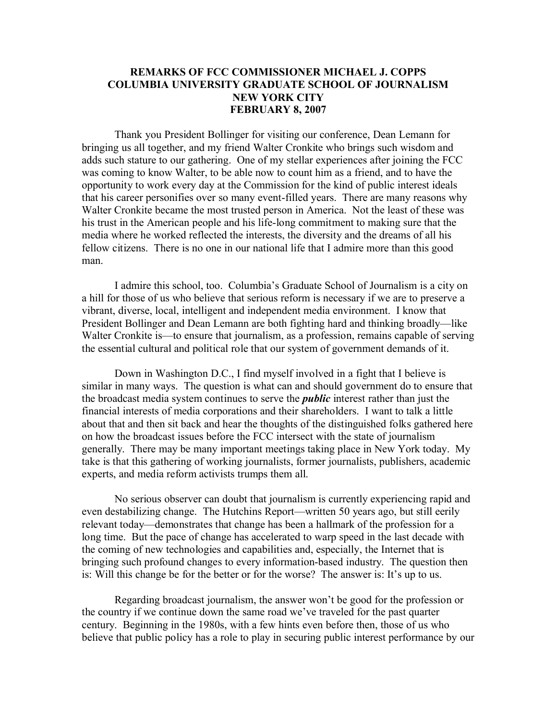## **REMARKS OF FCC COMMISSIONER MICHAEL J. COPPS COLUMBIA UNIVERSITY GRADUATE SCHOOL OF JOURNALISM NEW YORK CITY FEBRUARY 8, 2007**

Thank you President Bollinger for visiting our conference, Dean Lemann for bringing us all together, and my friend Walter Cronkite who brings such wisdom and adds such stature to our gathering. One of my stellar experiences after joining the FCC was coming to know Walter, to be able now to count him as a friend, and to have the opportunity to work every day at the Commission for the kind of public interest ideals that his career personifies over so many event-filled years. There are many reasons why Walter Cronkite became the most trusted person in America. Not the least of these was his trust in the American people and his life-long commitment to making sure that the media where he worked reflected the interests, the diversity and the dreams of all his fellow citizens. There is no one in our national life that I admire more than this good man.

I admire this school, too. Columbia's Graduate School of Journalism is a city on a hill for those of us who believe that serious reform is necessary if we are to preserve a vibrant, diverse, local, intelligent and independent media environment. I know that President Bollinger and Dean Lemann are both fighting hard and thinking broadly—like Walter Cronkite is—to ensure that journalism, as a profession, remains capable of serving the essential cultural and political role that our system of government demands of it.

Down in Washington D.C., I find myself involved in a fight that I believe is similar in many ways. The question is what can and should government do to ensure that the broadcast media system continues to serve the *public* interest rather than just the financial interests of media corporations and their shareholders. I want to talk a little about that and then sit back and hear the thoughts of the distinguished folks gathered here on how the broadcast issues before the FCC intersect with the state of journalism generally. There may be many important meetings taking place in New York today. My take is that this gathering of working journalists, former journalists, publishers, academic experts, and media reform activists trumps them all.

No serious observer can doubt that journalism is currently experiencing rapid and even destabilizing change. The Hutchins Report—written 50 years ago, but still eerily relevant today—demonstrates that change has been a hallmark of the profession for a long time. But the pace of change has accelerated to warp speed in the last decade with the coming of new technologies and capabilities and, especially, the Internet that is bringing such profound changes to every information-based industry. The question then is: Will this change be for the better or for the worse? The answer is: It's up to us.

Regarding broadcast journalism, the answer won't be good for the profession or the country if we continue down the same road we've traveled for the past quarter century. Beginning in the 1980s, with a few hints even before then, those of us who believe that public policy has a role to play in securing public interest performance by our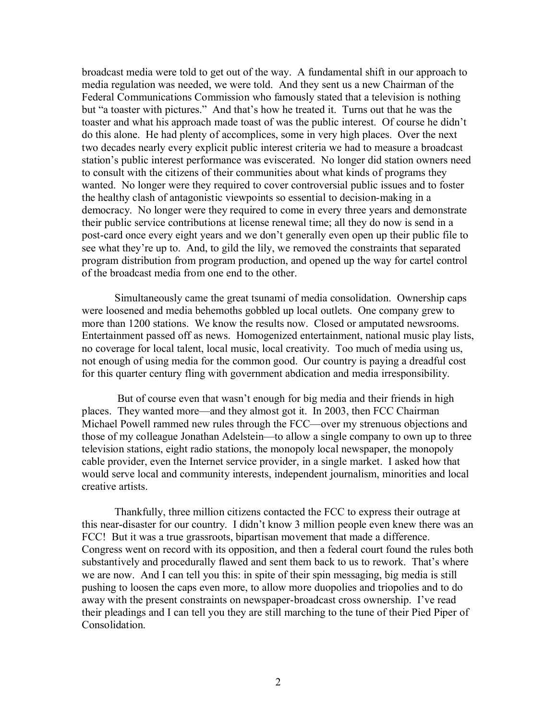broadcast media were told to get out of the way. A fundamental shift in our approach to media regulation was needed, we were told. And they sent us a new Chairman of the Federal Communications Commission who famously stated that a television is nothing but "a toaster with pictures." And that's how he treated it. Turns out that he was the toaster and what his approach made toast of was the public interest. Of course he didn't do this alone. He had plenty of accomplices, some in very high places. Over the next two decades nearly every explicit public interest criteria we had to measure a broadcast station's public interest performance was eviscerated. No longer did station owners need to consult with the citizens of their communities about what kinds of programs they wanted. No longer were they required to cover controversial public issues and to foster the healthy clash of antagonistic viewpoints so essential to decision-making in a democracy. No longer were they required to come in every three years and demonstrate their public service contributions at license renewal time; all they do now is send in a post-card once every eight years and we don't generally even open up their public file to see what they're up to. And, to gild the lily, we removed the constraints that separated program distribution from program production, and opened up the way for cartel control of the broadcast media from one end to the other.

Simultaneously came the great tsunami of media consolidation. Ownership caps were loosened and media behemoths gobbled up local outlets. One company grew to more than 1200 stations. We know the results now. Closed or amputated newsrooms. Entertainment passed off as news. Homogenized entertainment, national music play lists, no coverage for local talent, local music, local creativity. Too much of media using us, not enough of using media for the common good. Our country is paying a dreadful cost for this quarter century fling with government abdication and media irresponsibility.

But of course even that wasn't enough for big media and their friends in high places. They wanted more—and they almost got it. In 2003, then FCC Chairman Michael Powell rammed new rules through the FCC—over my strenuous objections and those of my colleague Jonathan Adelstein—to allow a single company to own up to three television stations, eight radio stations, the monopoly local newspaper, the monopoly cable provider, even the Internet service provider, in a single market. I asked how that would serve local and community interests, independent journalism, minorities and local creative artists.

Thankfully, three million citizens contacted the FCC to express their outrage at this near-disaster for our country. I didn't know 3 million people even knew there was an FCC! But it was a true grassroots, bipartisan movement that made a difference. Congress went on record with its opposition, and then a federal court found the rules both substantively and procedurally flawed and sent them back to us to rework. That's where we are now. And I can tell you this: in spite of their spin messaging, big media is still pushing to loosen the caps even more, to allow more duopolies and triopolies and to do away with the present constraints on newspaper-broadcast cross ownership. I've read their pleadings and I can tell you they are still marching to the tune of their Pied Piper of Consolidation.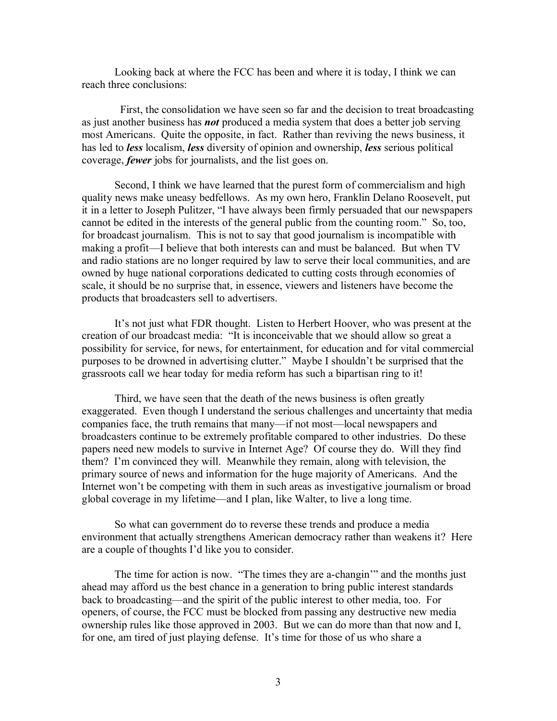Looking back at where the FCC has been and where it is today, I think we can reach three conclusions:

First, the consolidation we have seen so far and the decision to treat broadcasting as just another business has *not* produced a media system that does a better job serving most Americans. Quite the opposite, in fact. Rather than reviving the news business, it has led to *less* localism, *less* diversity of opinion and ownership, *less* serious political coverage, *fewer* jobs for journalists, and the list goes on.

Second, I think we have learned that the purest form of commercialism and high quality news make uneasy bedfellows. As my own hero, Franklin Delano Roosevelt, put it in a letter to Joseph Pulitzer, "I have always been firmly persuaded that our newspapers cannot be edited in the interests of the general public from the counting room." So, too, for broadcast journalism. This is not to say that good journalism is incompatible with making a profit—I believe that both interests can and must be balanced. But when TV and radio stations are no longer required by law to serve their local communities, and are owned by huge national corporations dedicated to cutting costs through economies of scale, it should be no surprise that, in essence, viewers and listeners have become the products that broadcasters sell to advertisers.

It's not just what FDR thought. Listen to Herbert Hoover, who was present at the creation of our broadcast media: "It is inconceivable that we should allow so great a possibility for service, for news, for entertainment, for education and for vital commercial purposes to be drowned in advertising clutter." Maybe I shouldn't be surprised that the grassroots call we hear today for media reform has such a bipartisan ring to it!

Third, we have seen that the death of the news business is often greatly exaggerated. Even though I understand the serious challenges and uncertainty that media companies face, the truth remains that many—if not most—local newspapers and broadcasters continue to be extremely profitable compared to other industries. Do these papers need new models to survive in Internet Age? Of course they do. Will they find them? I'm convinced they will. Meanwhile they remain, along with television, the primary source of news and information for the huge majority of Americans. And the Internet won't be competing with them in such areas as investigative journalism or broad global coverage in my lifetime—and I plan, like Walter, to live a long time.

So what can government do to reverse these trends and produce a media environment that actually strengthens American democracy rather than weakens it? Here are a couple of thoughts I'd like you to consider.

The time for action is now. "The times they are a-changin'" and the months just ahead may afford us the best chance in a generation to bring public interest standards back to broadcasting—and the spirit of the public interest to other media, too. For openers, of course, the FCC must be blocked from passing any destructive new media ownership rules like those approved in 2003. But we can do more than that now and I, for one, am tired of just playing defense. It's time for those of us who share a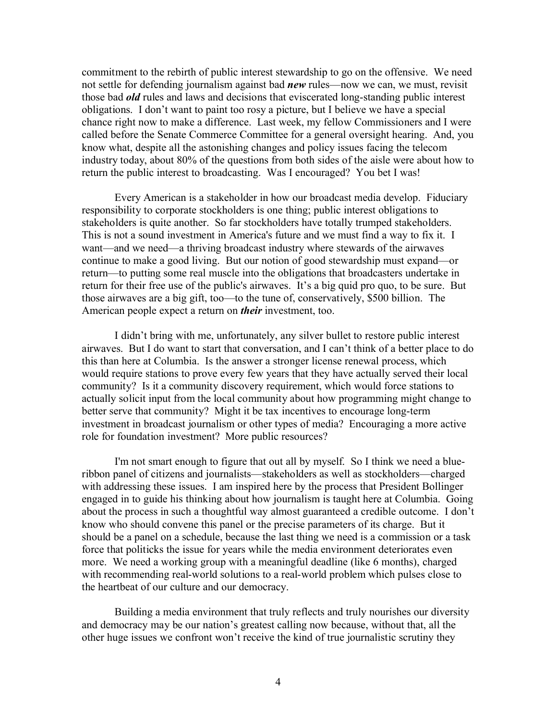commitment to the rebirth of public interest stewardship to go on the offensive. We need not settle for defending journalism against bad *new* rules—now we can, we must, revisit those bad *old* rules and laws and decisions that eviscerated long-standing public interest obligations. I don't want to paint too rosy a picture, but I believe we have a special chance right now to make a difference. Last week, my fellow Commissioners and I were called before the Senate Commerce Committee for a general oversight hearing. And, you know what, despite all the astonishing changes and policy issues facing the telecom industry today, about 80% of the questions from both sides of the aisle were about how to return the public interest to broadcasting. Was I encouraged? You bet I was!

Every American is a stakeholder in how our broadcast media develop. Fiduciary responsibility to corporate stockholders is one thing; public interest obligations to stakeholders is quite another. So far stockholders have totally trumped stakeholders. This is not a sound investment in America's future and we must find a way to fix it. I want—and we need—a thriving broadcast industry where stewards of the airwaves continue to make a good living. But our notion of good stewardship must expand—or return—to putting some real muscle into the obligations that broadcasters undertake in return for their free use of the public's airwaves. It's a big quid pro quo, to be sure. But those airwaves are a big gift, too—to the tune of, conservatively, \$500 billion. The American people expect a return on *their* investment, too.

I didn't bring with me, unfortunately, any silver bullet to restore public interest airwaves. But I do want to start that conversation, and I can't think of a better place to do this than here at Columbia. Is the answer a stronger license renewal process, which would require stations to prove every few years that they have actually served their local community? Is it a community discovery requirement, which would force stations to actually solicit input from the local community about how programming might change to better serve that community? Might it be tax incentives to encourage long-term investment in broadcast journalism or other types of media? Encouraging a more active role for foundation investment? More public resources?

I'm not smart enough to figure that out all by myself. So I think we need a blueribbon panel of citizens and journalists—stakeholders as well as stockholders—charged with addressing these issues. I am inspired here by the process that President Bollinger engaged in to guide his thinking about how journalism is taught here at Columbia. Going about the process in such a thoughtful way almost guaranteed a credible outcome. I don't know who should convene this panel or the precise parameters of its charge. But it should be a panel on a schedule, because the last thing we need is a commission or a task force that politicks the issue for years while the media environment deteriorates even more. We need a working group with a meaningful deadline (like 6 months), charged with recommending real-world solutions to a real-world problem which pulses close to the heartbeat of our culture and our democracy.

Building a media environment that truly reflects and truly nourishes our diversity and democracy may be our nation's greatest calling now because, without that, all the other huge issues we confront won't receive the kind of true journalistic scrutiny they